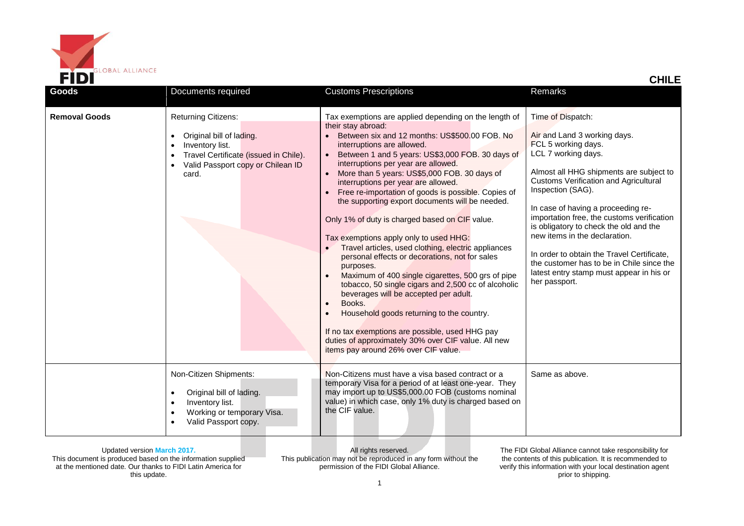

| Goods                | Documents required                                                                                                                                               | <b>Customs Prescriptions</b>                                                                                                                                                                                                                                                                                                                                                                                                                                                                                                                                                                                                                                                                                                                                                                                                                                                                                                                                                                                                           | Remarks                                                                                                                                                                                                                                                                                                                                                                                                                                                                                                                                |
|----------------------|------------------------------------------------------------------------------------------------------------------------------------------------------------------|----------------------------------------------------------------------------------------------------------------------------------------------------------------------------------------------------------------------------------------------------------------------------------------------------------------------------------------------------------------------------------------------------------------------------------------------------------------------------------------------------------------------------------------------------------------------------------------------------------------------------------------------------------------------------------------------------------------------------------------------------------------------------------------------------------------------------------------------------------------------------------------------------------------------------------------------------------------------------------------------------------------------------------------|----------------------------------------------------------------------------------------------------------------------------------------------------------------------------------------------------------------------------------------------------------------------------------------------------------------------------------------------------------------------------------------------------------------------------------------------------------------------------------------------------------------------------------------|
|                      |                                                                                                                                                                  |                                                                                                                                                                                                                                                                                                                                                                                                                                                                                                                                                                                                                                                                                                                                                                                                                                                                                                                                                                                                                                        |                                                                                                                                                                                                                                                                                                                                                                                                                                                                                                                                        |
| <b>Removal Goods</b> | <b>Returning Citizens:</b><br>Original bill of lading.<br>Inventory list.<br>Travel Certificate (issued in Chile).<br>Valid Passport copy or Chilean ID<br>card. | Tax exemptions are applied depending on the length of<br>their stay abroad:<br>Between six and 12 months: US\$500.00 FOB. No<br>interruptions are allowed.<br>Between 1 and 5 years: US\$3,000 FOB. 30 days of<br>interruptions per year are allowed.<br>More than 5 years: US\$5,000 FOB. 30 days of<br>interruptions per year are allowed.<br>Free re-importation of goods is possible. Copies of<br>the supporting export documents will be needed.<br>Only 1% of duty is charged based on CIF value.<br>Tax exemptions apply only to used HHG:<br>Travel articles, used clothing, electric appliances<br>personal effects or decorations, not for sales<br>purposes.<br>Maximum of 400 single cigarettes, 500 grs of pipe<br>tobacco, 50 single cigars and 2,500 cc of alcoholic<br>beverages will be accepted per adult.<br>Books.<br>Household goods returning to the country.<br>If no tax exemptions are possible, used HHG pay<br>duties of approximately 30% over CIF value. All new<br>items pay around 26% over CIF value. | Time of Dispatch:<br>Air and Land 3 working days.<br>FCL 5 working days.<br>LCL 7 working days.<br>Almost all HHG shipments are subject to<br><b>Customs Verification and Agricultural</b><br>Inspection (SAG).<br>In case of having a proceeding re-<br>importation free, the customs verification<br>is obligatory to check the old and the<br>new items in the declaration.<br>In order to obtain the Travel Certificate.<br>the customer has to be in Chile since the<br>latest entry stamp must appear in his or<br>her passport. |
|                      | Non-Citizen Shipments:<br>Original bill of lading.<br>Inventory list.<br>Working or temporary Visa.<br>Valid Passport copy.                                      | Non-Citizens must have a visa based contract or a<br>temporary Visa for a period of at least one-year. They<br>may import up to US\$5,000.00 FOB (customs nominal<br>value) in which case, only 1% duty is charged based on<br>the CIF value.                                                                                                                                                                                                                                                                                                                                                                                                                                                                                                                                                                                                                                                                                                                                                                                          | Same as above.                                                                                                                                                                                                                                                                                                                                                                                                                                                                                                                         |

All rights reserved. This publication may not be reproduced in any form without the permission of the FIDI Global Alliance.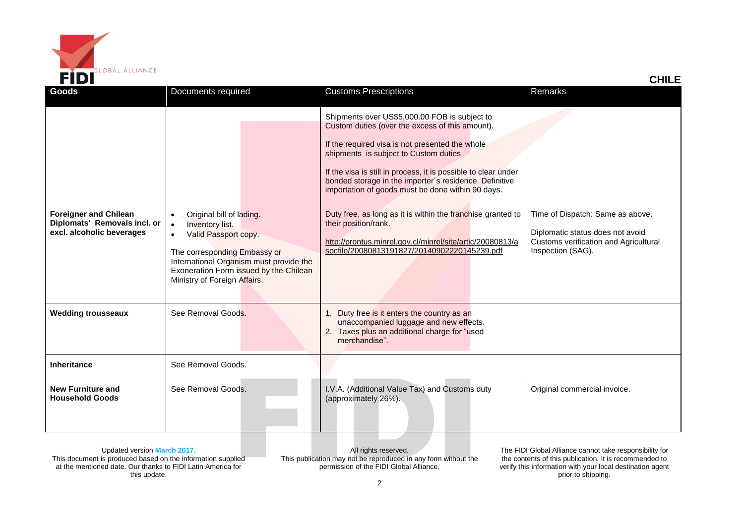

| Goods                                                                                     | Documents required                                                                                                                                                                                                                                        | <b>Customs Prescriptions</b>                                                                                                                                                                                                                                                                                                                                                  | Remarks                                                                                                                            |
|-------------------------------------------------------------------------------------------|-----------------------------------------------------------------------------------------------------------------------------------------------------------------------------------------------------------------------------------------------------------|-------------------------------------------------------------------------------------------------------------------------------------------------------------------------------------------------------------------------------------------------------------------------------------------------------------------------------------------------------------------------------|------------------------------------------------------------------------------------------------------------------------------------|
|                                                                                           |                                                                                                                                                                                                                                                           | Shipments over US\$5,000.00 FOB is subject to<br>Custom duties (over the excess of this amount).<br>If the required visa is not presented the whole<br>shipments is subject to Custom duties<br>If the visa is still in process, it is possible to clear under<br>bonded storage in the importer's residence. Definitive<br>importation of goods must be done within 90 days. |                                                                                                                                    |
| <b>Foreigner and Chilean</b><br>Diplomats' Removals incl. or<br>excl. alcoholic beverages | Original bill of lading.<br><b>Inventory list.</b><br>$\bullet$<br>Valid Passport copy.<br>$\bullet$<br>The corresponding Embassy or<br>International Organism must provide the<br>Exoneration Form issued by the Chilean<br>Ministry of Foreign Affairs. | Duty free, as long as it is within the franchise granted to<br>their position/rank.<br>http://prontus.minrel.gov.cl/minrel/site/artic/20080813/a<br>socfile/20080813191827/20140902220145239.pdf                                                                                                                                                                              | Time of Dispatch: Same as above.<br>Diplomatic status does not avoid<br>Customs verification and Agricultural<br>Inspection (SAG). |
| <b>Wedding trousseaux</b>                                                                 | See Removal Goods.                                                                                                                                                                                                                                        | Duty free is it enters the country as an<br>unaccompanied luggage and new effects.<br>2. Taxes plus an additional charge for "used<br>merchandise".                                                                                                                                                                                                                           |                                                                                                                                    |
| Inheritance                                                                               | See Removal Goods.                                                                                                                                                                                                                                        |                                                                                                                                                                                                                                                                                                                                                                               |                                                                                                                                    |
| <b>New Furniture and</b><br><b>Household Goods</b>                                        | See Removal Goods.                                                                                                                                                                                                                                        | I.V.A. (Additional Value Tax) and Customs duty<br>(approximately 26%).                                                                                                                                                                                                                                                                                                        | Original commercial invoice.                                                                                                       |

All rights reserved. This publication may not be reproduced in any form without the permission of the FIDI Global Alliance.

The FIDI Global Alliance cannot take responsibility for the contents of this publication. It is recommended to verify this information with your local destination agent prior to shipping.

 **CHILE**

2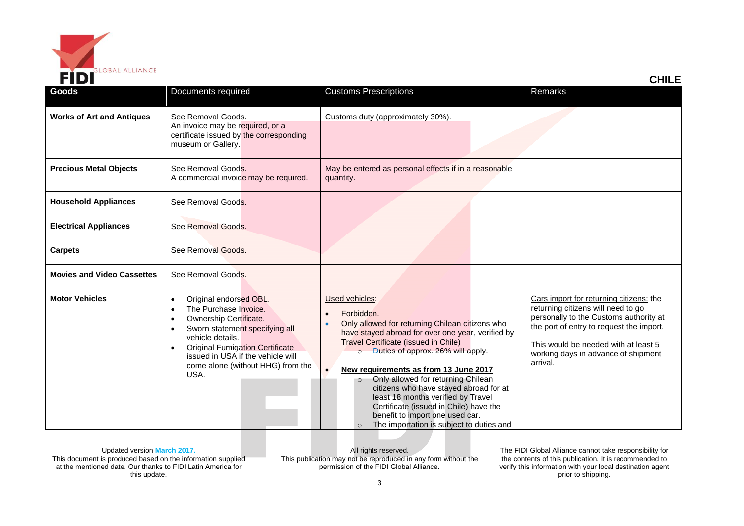

| FIDI                              |                                                                                                                                                                                                                                                             |                                                                                                                                                                                                                                                                                                                                                                                                                                                                                                                                            | <b>CHILE</b>                                                                                                                                                                                                                                                   |
|-----------------------------------|-------------------------------------------------------------------------------------------------------------------------------------------------------------------------------------------------------------------------------------------------------------|--------------------------------------------------------------------------------------------------------------------------------------------------------------------------------------------------------------------------------------------------------------------------------------------------------------------------------------------------------------------------------------------------------------------------------------------------------------------------------------------------------------------------------------------|----------------------------------------------------------------------------------------------------------------------------------------------------------------------------------------------------------------------------------------------------------------|
| <b>Goods</b>                      | Documents required                                                                                                                                                                                                                                          | <b>Customs Prescriptions</b>                                                                                                                                                                                                                                                                                                                                                                                                                                                                                                               | Remarks                                                                                                                                                                                                                                                        |
| <b>Works of Art and Antiques</b>  | See Removal Goods.<br>An invoice may be required, or a<br>certificate issued by the corresponding<br>museum or Gallery.                                                                                                                                     | Customs duty (approximately 30%).                                                                                                                                                                                                                                                                                                                                                                                                                                                                                                          |                                                                                                                                                                                                                                                                |
| <b>Precious Metal Objects</b>     | See Removal Goods.<br>A commercial invoice may be required.                                                                                                                                                                                                 | May be entered as personal effects if in a reasonable<br>quantity.                                                                                                                                                                                                                                                                                                                                                                                                                                                                         |                                                                                                                                                                                                                                                                |
| <b>Household Appliances</b>       | See Removal Goods.                                                                                                                                                                                                                                          |                                                                                                                                                                                                                                                                                                                                                                                                                                                                                                                                            |                                                                                                                                                                                                                                                                |
| <b>Electrical Appliances</b>      | See Removal Goods.                                                                                                                                                                                                                                          |                                                                                                                                                                                                                                                                                                                                                                                                                                                                                                                                            |                                                                                                                                                                                                                                                                |
| <b>Carpets</b>                    | See Removal Goods.                                                                                                                                                                                                                                          |                                                                                                                                                                                                                                                                                                                                                                                                                                                                                                                                            |                                                                                                                                                                                                                                                                |
| <b>Movies and Video Cassettes</b> | See Removal Goods.                                                                                                                                                                                                                                          |                                                                                                                                                                                                                                                                                                                                                                                                                                                                                                                                            |                                                                                                                                                                                                                                                                |
| <b>Motor Vehicles</b>             | Original endorsed OBL.<br>The Purchase Invoice.<br>Ownership Certificate.<br>Sworn statement specifying all<br>vehicle details.<br><b>Original Fumigation Certificate</b><br>issued in USA if the vehicle will<br>come alone (without HHG) from the<br>USA. | Used vehicles:<br>Forbidden.<br>Only allowed for returning Chilean citizens who<br>have stayed abroad for over one year, verified by<br>Travel Certificate (issued in Chile)<br>Duties of approx. 26% will apply.<br>$\circ$<br>New requirements as from 13 June 2017<br>Only allowed for returning Chilean<br>$\circ$<br>citizens who have stayed abroad for at<br>least 18 months verified by Travel<br>Certificate (issued in Chile) have the<br>benefit to import one used car.<br>The importation is subject to duties and<br>$\circ$ | Cars import for returning citizens: the<br>returning citizens will need to go<br>personally to the Customs authority at<br>the port of entry to request the import.<br>This would be needed with at least 5<br>working days in advance of shipment<br>arrival. |

All rights reserved. This publication may not be reproduced in any form without the permission of the FIDI Global Alliance.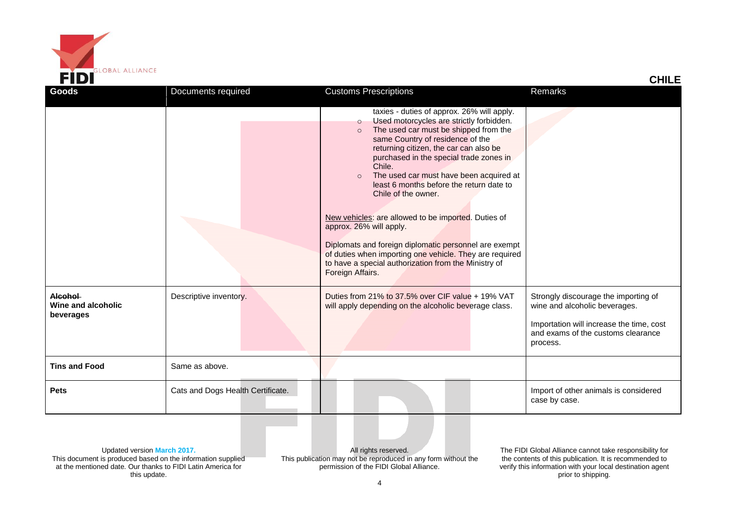

| FIDI                                       |                                   |                                                                                                                                                                                                                                                                                                                                                                                                                                                                                                                                                                                                                                                                               | <b>CHILE</b>                                                                                                                                                        |
|--------------------------------------------|-----------------------------------|-------------------------------------------------------------------------------------------------------------------------------------------------------------------------------------------------------------------------------------------------------------------------------------------------------------------------------------------------------------------------------------------------------------------------------------------------------------------------------------------------------------------------------------------------------------------------------------------------------------------------------------------------------------------------------|---------------------------------------------------------------------------------------------------------------------------------------------------------------------|
| Goods                                      | Documents required                | <b>Customs Prescriptions</b>                                                                                                                                                                                                                                                                                                                                                                                                                                                                                                                                                                                                                                                  | Remarks                                                                                                                                                             |
|                                            |                                   | taxies - duties of approx. 26% will apply.<br>Used motorcycles are strictly forbidden.<br>$\circ$<br>The used car must be shipped from the<br>same Country of residence of the<br>returning citizen, the car can also be<br>purchased in the special trade zones in<br>Chile.<br>The used car must have been acquired at<br>least 6 months before the return date to<br>Chile of the owner.<br>New vehicles: are allowed to be imported. Duties of<br>approx. 26% will apply.<br>Diplomats and foreign diplomatic personnel are exempt<br>of duties when importing one vehicle. They are required<br>to have a special authorization from the Ministry of<br>Foreign Affairs. |                                                                                                                                                                     |
| Alcohol<br>Wine and alcoholic<br>beverages | Descriptive inventory.            | Duties from 21% to 37.5% over CIF value + 19% VAT<br>will apply depending on the alcoholic beverage class.                                                                                                                                                                                                                                                                                                                                                                                                                                                                                                                                                                    | Strongly discourage the importing of<br>wine and alcoholic beverages.<br>Importation will increase the time, cost<br>and exams of the customs clearance<br>process. |
| <b>Tins and Food</b>                       | Same as above.                    |                                                                                                                                                                                                                                                                                                                                                                                                                                                                                                                                                                                                                                                                               |                                                                                                                                                                     |
| <b>Pets</b>                                | Cats and Dogs Health Certificate. |                                                                                                                                                                                                                                                                                                                                                                                                                                                                                                                                                                                                                                                                               | Import of other animals is considered<br>case by case.                                                                                                              |

All rights reserved. This publication may not be reproduced in any form without the permission of the FIDI Global Alliance.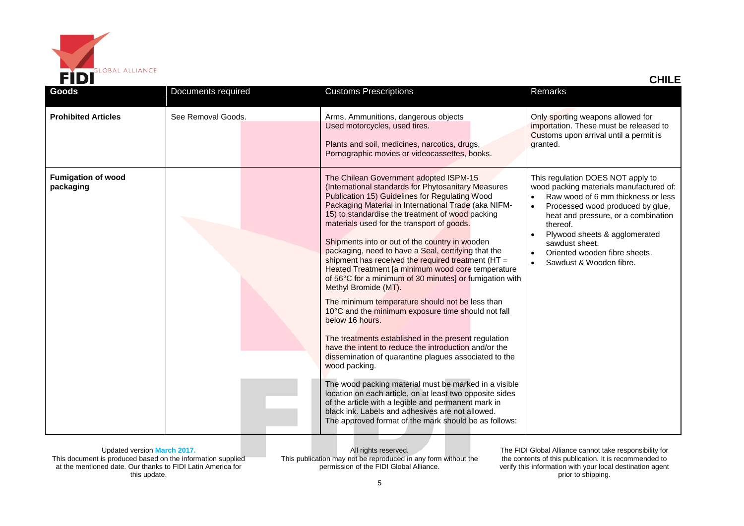

| CHILI |
|-------|
|-------|

| <b>Goods</b>                           | Documents required | <b>Customs Prescriptions</b>                                                                                                                                                                                                                                                                                                                                                                                                                                                                                                                                                                                                                                                                                                                                                                                                                                                                                                                                                                                                                                                                                                                                                                                                        | Remarks                                                                                                                                                                                                                                                                                                                  |
|----------------------------------------|--------------------|-------------------------------------------------------------------------------------------------------------------------------------------------------------------------------------------------------------------------------------------------------------------------------------------------------------------------------------------------------------------------------------------------------------------------------------------------------------------------------------------------------------------------------------------------------------------------------------------------------------------------------------------------------------------------------------------------------------------------------------------------------------------------------------------------------------------------------------------------------------------------------------------------------------------------------------------------------------------------------------------------------------------------------------------------------------------------------------------------------------------------------------------------------------------------------------------------------------------------------------|--------------------------------------------------------------------------------------------------------------------------------------------------------------------------------------------------------------------------------------------------------------------------------------------------------------------------|
| <b>Prohibited Articles</b>             | See Removal Goods. | Arms, Ammunitions, dangerous objects<br>Used motorcycles, used tires.<br>Plants and soil, medicines, narcotics, drugs,<br>Pornographic movies or videocassettes, books.                                                                                                                                                                                                                                                                                                                                                                                                                                                                                                                                                                                                                                                                                                                                                                                                                                                                                                                                                                                                                                                             | Only sporting weapons allowed for<br>importation. These must be released to<br>Customs upon arrival until a permit is<br>granted.                                                                                                                                                                                        |
| <b>Fumigation of wood</b><br>packaging |                    | The Chilean Government adopted ISPM-15<br>(International standards for Phytosanitary Measures<br>Publication 15) Guidelines for Regulating Wood<br>Packaging Material in International Trade (aka NIFM-<br>15) to standardise the treatment of wood packing<br>materials used for the transport of goods.<br>Shipments into or out of the country in wooden<br>packaging, need to have a Seal, certifying that the<br>shipment has received the required treatment ( $HT =$<br>Heated Treatment [a minimum wood core temperature<br>of 56°C for a minimum of 30 minutes] or fumigation with<br>Methyl Bromide (MT).<br>The minimum temperature should not be less than<br>10°C and the minimum exposure time should not fall<br>below 16 hours.<br>The treatments established in the present regulation<br>have the intent to reduce the introduction and/or the<br>dissemination of quarantine plagues associated to the<br>wood packing.<br>The wood packing material must be marked in a visible<br>location on each article, on at least two opposite sides<br>of the article with a legible and permanent mark in<br>black ink. Labels and adhesives are not allowed.<br>The approved format of the mark should be as follows: | This regulation DOES NOT apply to<br>wood packing materials manufactured of:<br>Raw wood of 6 mm thickness or less<br>Processed wood produced by glue,<br>heat and pressure, or a combination<br>thereof.<br>Plywood sheets & agglomerated<br>sawdust sheet.<br>Oriented wooden fibre sheets.<br>Sawdust & Wooden fibre. |

All rights reserved. This publication may not be reproduced in any form without the permission of the FIDI Global Alliance.